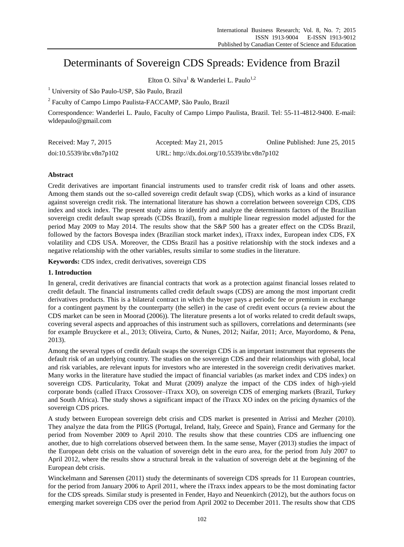# Determinants of Sovereign CDS Spreads: Evidence from Brazil

Elton O. Silva<sup>1</sup> & Wanderlei L. Paulo<sup>1,2</sup>

<sup>1</sup> University of São Paulo-USP, São Paulo, Brazil

<sup>2</sup> Faculty of Campo Limpo Paulista-FACCAMP, São Paulo, Brazil

Correspondence: Wanderlei L. Paulo, Faculty of Campo Limpo Paulista, Brazil. Tel: 55-11-4812-9400. E-mail: wldepaulo@gmail.com

| Received: May 7, 2015    | Accepted: May 21, 2015                      | Online Published: June 25, 2015 |
|--------------------------|---------------------------------------------|---------------------------------|
| doi:10.5539/ibr.v8n7p102 | URL: http://dx.doi.org/10.5539/ibr.v8n7p102 |                                 |

## **Abstract**

Credit derivatives are important financial instruments used to transfer credit risk of loans and other assets. Among them stands out the so-called sovereign credit default swap (CDS), which works as a kind of insurance against sovereign credit risk. The international literature has shown a correlation between sovereign CDS, CDS index and stock index. The present study aims to identify and analyze the determinants factors of the Brazilian sovereign credit default swap spreads (CDSs Brazil), from a multiple linear regression model adjusted for the period May 2009 to May 2014. The results show that the S&P 500 has a greater effect on the CDSs Brazil, followed by the factors Bovespa index (Brazilian stock market index), iTraxx index, European index CDS, FX volatility and CDS USA. Moreover, the CDSs Brazil has a positive relationship with the stock indexes and a negative relationship with the other variables, results similar to some studies in the literature.

**Keywords:** CDS index, credit derivatives, sovereign CDS

### **1. Introduction**

In general, credit derivatives are financial contracts that work as a protection against financial losses related to credit default. The financial instruments called credit default swaps (CDS) are among the most important credit derivatives products. This is a bilateral contract in which the buyer pays a periodic fee or premium in exchange for a contingent payment by the counterparty (the seller) in the case of credit event occurs (a review about the CDS market can be seen in Moorad (2006)). The literature presents a lot of works related to credit default swaps, covering several aspects and approaches of this instrument such as spillovers, correlations and determinants (see for example Bruyckere et al., 2013; Oliveira, Curto, & Nunes, 2012; Naifar, 2011; Arce, Mayordomo, & Pena, 2013).

Among the several types of credit default swaps the sovereign CDS is an important instrument that represents the default risk of an underlying country. The studies on the sovereign CDS and their relationships with global, local and risk variables, are relevant inputs for investors who are interested in the sovereign credit derivatives market. Many works in the literature have studied the impact of financial variables (as market index and CDS index) on sovereign CDS. Particularity, Tokat and Murat (2009) analyze the impact of the CDS index of high-yield corporate bonds (called iTraxx Crossover–iTraxx XO), on sovereign CDS of emerging markets (Brazil, Turkey and South Africa). The study shows a significant impact of the iTraxx XO index on the pricing dynamics of the sovereign CDS prices.

A study between European sovereign debt crisis and CDS market is presented in Atrissi and Mezher (2010). They analyze the data from the [PIIGS](http://economictimes.indiatimes.com/topics.cms?search=PIIGS) (Portugal, Ireland, Italy, Greece and Spain), France and Germany for the period from November 2009 to April 2010. The results show that these countries CDS are influencing one another, due to high correlations observed between them. In the same sense, Mayer (2013) studies the impact of the European debt crisis on the valuation of sovereign debt in the euro area, for the period from July 2007 to April 2012, where the results show a structural break in the valuation of sovereign debt at the beginning of the European debt crisis.

Winckelmann and Sørensen (2011) study the determinants of sovereign CDS spreads for 11 European countries, for the period from January 2006 to April 2011, where the iTraxx index appears to be the most dominating factor for the CDS spreads. Similar study is presented in Fender, Hayo and Neuenkirch (2012), but the authors focus on emerging market sovereign CDS over the period from April 2002 to December 2011. The results show that CDS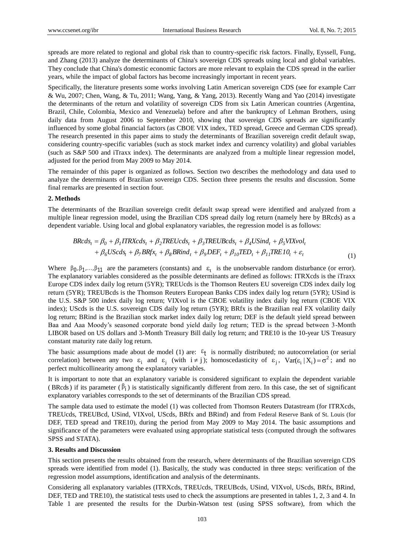spreads are more related to regional and global risk than to country-specific risk factors. Finally, Eyssell, Fung, and Zhang (2013) analyze the determinants of China's sovereign CDS spreads using local and global variables. They conclude that China's domestic economic factors are more relevant to explain the CDS spread in the earlier years, while the impact of global factors has become increasingly important in recent years.

Specifically, the literature presents some works involving Latin American sovereign CDS (see for example Carr & Wu, 2007; Chen, Wang, & Tu, 2011; Wang, Yang, & Yang, 2013). Recently Wang and Yao (2014) investigate the determinants of the return and volatility of sovereign CDS from six Latin American countries (Argentina, Brazil, Chile, Colombia, Mexico and Venezuela) before and after the bankruptcy of Lehman Brothers, using daily data from August 2006 to September 2010, showing that sovereign CDS spreads are significantly influenced by some global financial factors (as CBOE VIX index, TED spread, Greece and German CDS spread). The research presented in this paper aims to study the determinants of Brazilian sovereign credit default swap, considering country-specific variables (such as stock market index and currency volatility) and global variables (such as S&P 500 and iTraxx index). The determinants are analyzed from a multiple linear regression model, adjusted for the period from May 2009 to May 2014.

The remainder of this paper is organized as follows. Section two describes the methodology and data used to analyze the determinants of Brazilian sovereign CDS. Section three presents the results and discussion. Some final remarks are presented in section four.

#### **2. Methods**

The determinants of the Brazilian sovereign credit default swap spread were identified and analyzed from a multiple linear regression model, using the Brazilian CDS spread daily log return (namely here by BRcds) as a dependent variable. Using local and global explanatory variables, the regression model is as follows:

$$
BRcds_t = \beta_0 + \beta_1 ITRXcds_t + \beta_2 TREUcds_t + \beta_3 TREUBcds_t + \beta_4 USind_t + \beta_5 VIXvol_t + \beta_6 UScds_t + \beta_7 BRf x_t + \beta_8 BRind_t + \beta_9 DEF_t + \beta_{10} TED_t + \beta_{11} TREIO_t + \varepsilon_t
$$
(1)

Where  $\beta_0$ ,  $\beta_1$ , ...,  $\beta_{11}$  are the parameters (constants) and  $\varepsilon_t$  is the unobservable random disturbance (or error). The explanatory variables considered as the possible determinants are defined as follows: ITRXcds is the iTraxx Europe CDS index daily log return (5YR); TREUcds is the Thomson Reuters EU sovereign CDS index daily log return (5YR); TREUBcds is the Thomson Reuters European Banks CDS index daily log return (5YR); USind is the U.S. S&P 500 index daily log return; VIXvol is the CBOE volatility index daily log return (CBOE VIX index); UScds is the U.S. sovereign CDS daily log return (5YR); BRfx is the Brazilian real FX volatility daily log return; BRind is the Brazilian stock market index daily log return; DEF is the default yield spread between Baa and Aaa Moody's seasoned corporate bond yield daily log return; TED is the spread between 3-Month LIBOR based on US dollars and 3-Month Treasury Bill daily log return; and TRE10 is the 10-year US Treasury constant maturity rate daily log return.

The basic assumptions made about de model (1) are:  $\epsilon_t$  is normally distributed; no autocorrelation (or serial correlation) between any two  $\varepsilon_i$  and  $\varepsilon_j$  (with  $i \neq j$ ); homoscedasticity of  $\varepsilon_j$ ,  $Var(\varepsilon_i | X_i) = \sigma^2$ ; and no perfect multicollinearity among the explanatory variables.

It is important to note that an explanatory variable is considered significant to explain the dependent variable (BRcds) if its parameter ( $\beta$ <sub>i</sub>) is statistically significantly different from zero. In this case, the set of significant explanatory variables corresponds to the set of determinants of the Brazilian CDS spread.

The sample data used to estimate the model (1) was collected from Thomson Reuters Datastream (for ITRXcds, TREUcds, TREUBcd, USind, VIXvol, UScds, BRfx and BRind) and from Federal Reserve Bank of St. Louis (for DEF, TED spread and TRE10), during the period from May 2009 to May 2014. The basic assumptions and significance of the parameters were evaluated using appropriate statistical tests (computed through the softwares SPSS and STATA).

#### **3. Results and Discussion**

This section presents the results obtained from the research, where determinants of the Brazilian sovereign CDS spreads were identified from model (1). Basically, the study was conducted in three steps: verification of the regression model assumptions, identification and analysis of the determinants.

Considering all explanatory variables (ITRXcds, TREUcds, TREUBcds, USind, VIXvol, UScds, BRfx, BRind, DEF, TED and TRE10), the statistical tests used to check the assumptions are presented in tables 1, 2, 3 and 4. In Table 1 are presented the results for the Durbin-Watson test (using SPSS software), from which the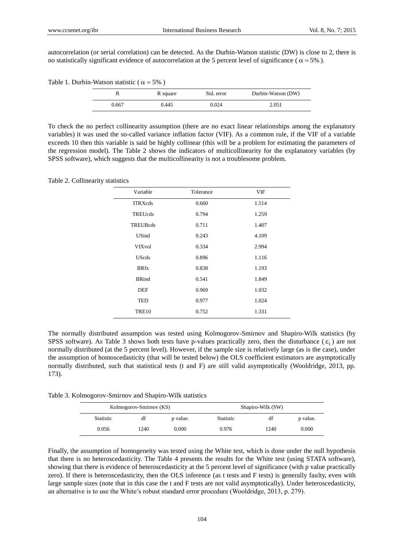autocorrelation (or serial correlation) can be detected. As the Durbin-Watson statistic (DW) is close to 2, there is no statistically significant evidence of autocorrelation at the 5 percent level of significance ( $\alpha$  = 5%).

Table 1. Durbin-Watson statistic ( $\alpha = 5\%$ )

|       | R square | Std. error | Durbin-Watson (DW) |
|-------|----------|------------|--------------------|
| 0.667 | 0.445    | 0.024      | 2.051              |

To check the no perfect collinearity assumption (there are no exact linear relationships among the explanatory variables) it was used the so-called variance inflation factor (VIF). As a common rule, if the VIF of a variable exceeds 10 then this variable is said be highly collinear (this will be a problem for estimating the parameters of the regression model). The Table 2 shows the indicators of multicollinearity for the explanatory variables (by SPSS software), which suggests that the multicollinearity is not a troublesome problem.

Table 2. Collinearity statistics

| Variable        | Tolerance | VIF   |
|-----------------|-----------|-------|
| <b>ITRXcds</b>  | 0.660     | 1.514 |
| TREUcds         | 0.794     | 1.259 |
| <b>TREUBcds</b> | 0.711     | 1.407 |
| <b>USind</b>    | 0.243     | 4.109 |
| <b>VIXvol</b>   | 0.334     | 2.994 |
| <b>UScds</b>    | 0.896     | 1.116 |
| <b>BRfx</b>     | 0.838     | 1.193 |
| <b>BRind</b>    | 0.541     | 1.849 |
| DEF             | 0.969     | 1.032 |
| TED             | 0.977     | 1.024 |
| <b>TRE10</b>    | 0.752     | 1.331 |

The normally distributed assumption was tested using Kolmogorov-Smirnov and Shapiro-Wilk statistics (by SPSS software). As Table 3 shows both tests have p-values practically zero, then the disturbance  $(\varepsilon_i)$  are not normally distributed (at the 5 percent level). However, if the sample size is relatively large (as is the case), under the assumption of homoscedasticity (that will be tested below) the OLS coefficient estimators are asymptotically normally distributed, such that statistical tests (t and F) are still valid asymptotically (Wooldridge, 2013, pp. 173).

Table 3. Kolmogorov-Smirnov and Shapiro-Wilk statistics

|                  | Kolmogorov-Smirnov (KS) |          |                  | Shapiro-Wilk (SW) |          |
|------------------|-------------------------|----------|------------------|-------------------|----------|
| <b>Statistic</b> | df                      | p value. | <b>Statistic</b> | df                | p value. |
| 0.056            | 1240                    | 0.000    | 0.976            | 1240              | 0.000    |

Finally, the assumption of homogeneity was tested using the White test, which is done under the null hypothesis that there is no heteroscedasticity. The Table 4 presents the results for the White test (using STATA software), showing that there is evidence of heteroscedasticity at the 5 percent level of significance (with p value practically zero). If there is heteroscedasticity, then the OLS inference (as t tests and F tests) is generally faulty, even with large sample sizes (note that in this case the t and F tests are not valid asymptotically). Under heteroscedasticity, an alternative is to use the White's robust standard error procedure (Wooldridge, 2013, p. 279).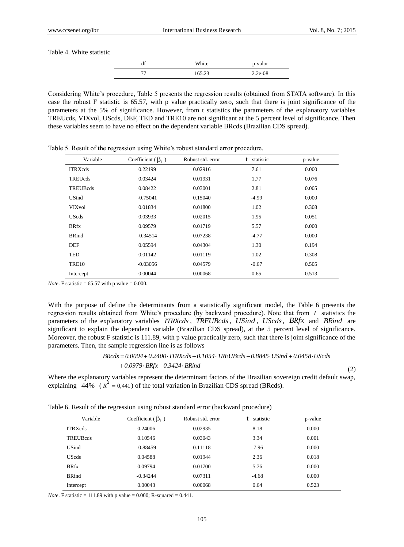(2)

Table 4. White statistic

|    | White  | p-valor   |
|----|--------|-----------|
| רר | 165.23 | $2.2e-08$ |

Considering White's procedure, Table 5 presents the regression results (obtained from STATA software). In this case the robust F statistic is 65.57, with p value practically zero, such that there is joint significance of the parameters at the 5% of significance. However, from t statistics the parameters of the explanatory variables TREUcds, VIXvol, UScds, DEF, TED and TRE10 are not significant at the 5 percent level of significance. Then these variables seem to have no effect on the dependent variable BRcds (Brazilian CDS spread).

| Variable        | Coefficient ( $\beta_i$ ) | Robust std. error | t<br>statistic | p-value |
|-----------------|---------------------------|-------------------|----------------|---------|
| <b>ITRXcds</b>  | 0.22199                   | 0.02916           | 7.61           | 0.000   |
| <b>TREUcds</b>  | 0.03424                   | 0.01931           | 1,77           | 0.076   |
| <b>TREUBcds</b> | 0.08422                   | 0.03001           | 2.81           | 0.005   |
| <b>USind</b>    | $-0.75041$                | 0.15040           | $-4.99$        | 0.000   |
| <b>VIXvol</b>   | 0.01834                   | 0.01800           | 1.02           | 0.308   |
| <b>UScds</b>    | 0.03933                   | 0.02015           | 1.95           | 0.051   |
| <b>BRfx</b>     | 0.09579                   | 0.01719           | 5.57           | 0.000   |
| <b>BRind</b>    | $-0.34514$                | 0.07238           | $-4.77$        | 0.000   |
| <b>DEF</b>      | 0.05594                   | 0.04304           | 1.30           | 0.194   |
| TED             | 0.01142                   | 0.01119           | 1.02           | 0.308   |
| <b>TRE10</b>    | $-0.03056$                | 0.04579           | $-0.67$        | 0.505   |
| Intercept       | 0.00044                   | 0.00068           | 0.65           | 0.513   |

Table 5. Result of the regression using White's robust standard error procedure.

*Note*. F statistic =  $65.57$  with p value = 0.000.

With the purpose of define the determinants from a statistically significant model, the Table 6 presents the regression results obtained from White's procedure (by backward procedure). Note that from *t* statistics the parameters of the explanatory variables *ITRXcds*, *TREUBcds*, *USind*, *UScds*, *BRfx* and *BRind* are significant to explain the dependent variable (Brazilian CDS spread), at the 5 percent level of significance. Moreover, the robust F statistic is 111.89, with p value practically zero, such that there is joint significance of the parameters. Then, the sample regression line is as follows

# *0.0979 BRfx 0.3424 BRind BRcds 0.0004 0.2400 ITRXcds 0.1054 TREUBcds 0.8845 USind 0.0458 UScds*

Where the explanatory variables represent the determinant factors of the Brazilian sovereign credit default swap, explaining  $\frac{1}{44\%}$  ( $R^2 = 0.441$ ) of the total variation in Brazilian CDS spread (BRcds).

Table 6. Result of the regression using robust standard error (backward procedure)

| Variable        | Coefficient ( $\beta_i$ ) | Robust std. error | statistic | p-value |
|-----------------|---------------------------|-------------------|-----------|---------|
| <b>ITRXcds</b>  | 0.24006                   | 0.02935           | 8.18      | 0.000   |
| <b>TREUBcds</b> | 0.10546                   | 0.03043           | 3.34      | 0.001   |
| <b>USind</b>    | $-0.88459$                | 0.11118           | $-7.96$   | 0.000   |
| <b>UScds</b>    | 0.04588                   | 0.01944           | 2.36      | 0.018   |
| <b>BRfx</b>     | 0.09794                   | 0.01700           | 5.76      | 0.000   |
| <b>BRind</b>    | $-0.34244$                | 0.07311           | $-4.68$   | 0.000   |
| Intercept       | 0.00043                   | 0.00068           | 0.64      | 0.523   |

*Note*. F statistic = 111.89 with p value = 0.000; R-squared = 0.441.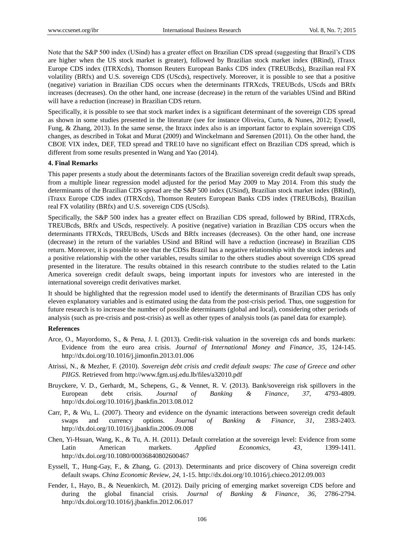Note that the S&P 500 index (USind) has a greater effect on Brazilian CDS spread (suggesting that Brazil's CDS are higher when the US stock market is greater), followed by Brazilian stock market index (BRind), iTraxx Europe CDS index (ITRXcds), Thomson Reuters European Banks CDS index (TREUBcds), Brazilian real FX volatility (BRfx) and U.S. sovereign CDS (UScds), respectively. Moreover, it is possible to see that a positive (negative) variation in Brazilian CDS occurs when the determinants ITRXcds, TREUBcds, UScds and BRfx increases (decreases). On the other hand, one increase (decrease) in the return of the variables USind and BRind will have a reduction (increase) in Brazilian CDS return.

Specifically, it is possible to see that stock market index is a significant determinant of the sovereign CDS spread as shown in some studies presented in the literature (see for instance Oliveira, Curto, & Nunes, 2012; Eyssell, Fung, & Zhang, 2013). In the same sense, the Itraxx index also is an important factor to explain sovereign CDS changes, as described in Tokat and Murat (2009) and Winckelmann and Sørensen (2011). On the other hand, the CBOE VIX index, DEF, TED spread and TRE10 have no significant effect on Brazilian CDS spread, which is different from some results presented in Wang and Yao (2014).

#### **4. Final Remarks**

This paper presents a study about the determinants factors of the Brazilian sovereign credit default swap spreads, from a multiple linear regression model adjusted for the period May 2009 to May 2014. From this study the determinants of the Brazilian CDS spread are the S&P 500 index (USind), Brazilian stock market index (BRind), iTraxx Europe CDS index (ITRXcds), Thomson Reuters European Banks CDS index (TREUBcds), Brazilian real FX volatility (BRfx) and U.S. sovereign CDS (UScds).

Specifically, the S&P 500 index has a greater effect on Brazilian CDS spread, followed by BRind, ITRXcds, TREUBcds, BRfx and UScds, respectively. A positive (negative) variation in Brazilian CDS occurs when the determinants ITRXcds, TREUBcds, UScds and BRfx increases (decreases). On the other hand, one increase (decrease) in the return of the variables USind and BRind will have a reduction (increase) in Brazilian CDS return. Moreover, it is possible to see that the CDSs Brazil has a negative relationship with the stock indexes and a positive relationship with the other variables, results similar to the others studies about sovereign CDS spread presented in the literature. The results obtained in this research contribute to the studies related to the Latin America sovereign credit default swaps, being important inputs for investors who are interested in the international sovereign credit derivatives market.

It should be highlighted that the regression model used to identify the determinants of Brazilian CDS has only eleven explanatory variables and is estimated using the data from the post-crisis period. Thus, one suggestion for future research is to increase the number of possible determinants (global and local), considering other periods of analysis (such as pre-crisis and post-crisis) as well as other types of analysis tools (as panel data for example).

#### **References**

- Arce, O., Mayordomo, S., & Pena, J. I. (2013). Credit-risk valuation in the sovereign cds and bonds markets: Evidence from the euro area crisis. *Journal of International Money and Finance*, *35*, 124-145. http://dx.doi.org/10.1016/j.jimonfin.2013.01.006
- Atrissi, N., & Mezher, F. (2010). *Sovereign debt crisis and credit default swaps: The case of Greece and other PIIGS*. Retrieved from<http://www.fgm.usj.edu.lb/files/a32010.pdf>
- Bruyckere, V. D., Gerhardt, M., Schepens, G., & Vennet, R. V. (2013). Bank/sovereign risk spillovers in the European debt crisis. *Journal of Banking & Finance*, *37*, 4793-4809. http://dx.doi.org/10.1016/j.jbankfin.2013.08.012
- Carr, P., & Wu, L. (2007). Theory and evidence on the dynamic interactions between sovereign credit default swaps and currency options. *Journal of Banking & Finance*, *31*, 2383-2403. http://dx.doi.org/10.1016/j.jbankfin.2006.09.008
- Chen, Yi-Hsuan, Wang, K., & Tu, A. H. (2011). Default correlation at the sovereign level: Evidence from some Latin American markets. *Applied Economics, 43*, 1399-1411. http://dx.doi.org/10.1080/00036840802600467
- Eyssell, T., Hung-Gay, F., & Zhang, G. (2013). Determinants and price discovery of China sovereign credit default swaps. *China Economic Review*, *24*, 1-15. http://dx.doi.org/10.1016/j.chieco.2012.09.003
- Fender, I., Hayo, B., & Neuenkirch, M. (2012). Daily pricing of emerging market sovereign CDS before and during the global financial crisis. *Journal of Banking & Finance*, *36*, 2786-2794. http://dx.doi.org/10.1016/j.jbankfin.2012.06.017